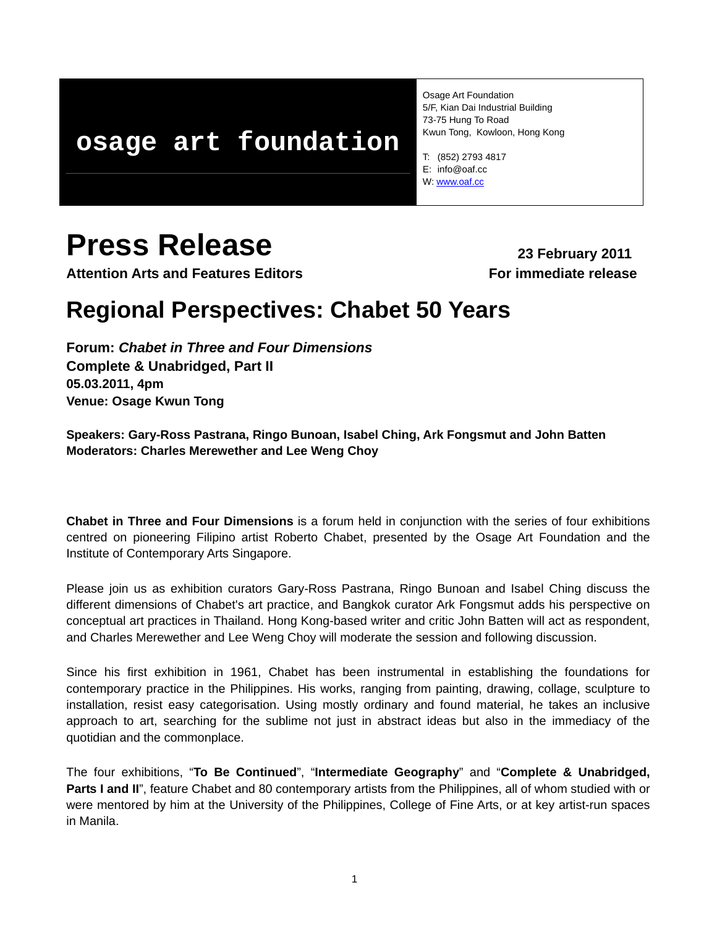# **osage art foundation**

Osage Art Foundation 5/F, Kian Dai Industrial Building 73-75 Hung To Road Kwun Tong, Kowloon, Hong Kong

T: (852) 2793 4817 E: info@oaf.cc W: [www.oaf.cc](http://www.oaf.cc/)

# **Press Release** 23 February 2011

**Attention Arts and Features Editors For immediate release**

# **Regional Perspectives: Chabet 50 Years**

**Forum:** *Chabet in Three and Four Dimensions*  **Complete & Unabridged, Part II 05.03.2011, 4pm Venue: Osage Kwun Tong** 

**Speakers: Gary-Ross Pastrana, Ringo Bunoan, Isabel Ching, Ark Fongsmut and John Batten Moderators: Charles Merewether and Lee Weng Choy** 

**Chabet in Three and Four Dimensions** is a forum held in conjunction with the series of four exhibitions centred on pioneering Filipino artist Roberto Chabet, presented by the Osage Art Foundation and the Institute of Contemporary Arts Singapore.

Please join us as exhibition curators Gary-Ross Pastrana, Ringo Bunoan and Isabel Ching discuss the different dimensions of Chabet's art practice, and Bangkok curator Ark Fongsmut adds his perspective on conceptual art practices in Thailand. Hong Kong-based writer and critic John Batten will act as respondent, and Charles Merewether and Lee Weng Choy will moderate the session and following discussion.

Since his first exhibition in 1961, Chabet has been instrumental in establishing the foundations for contemporary practice in the Philippines. His works, ranging from painting, drawing, collage, sculpture to installation, resist easy categorisation. Using mostly ordinary and found material, he takes an inclusive approach to art, searching for the sublime not just in abstract ideas but also in the immediacy of the quotidian and the commonplace.

The four exhibitions, "**To Be Continued**", "**Intermediate Geography**" and "**Complete & Unabridged,**  Parts I and II", feature Chabet and 80 contemporary artists from the Philippines, all of whom studied with or were mentored by him at the University of the Philippines, College of Fine Arts, or at key artist-run spaces in Manila.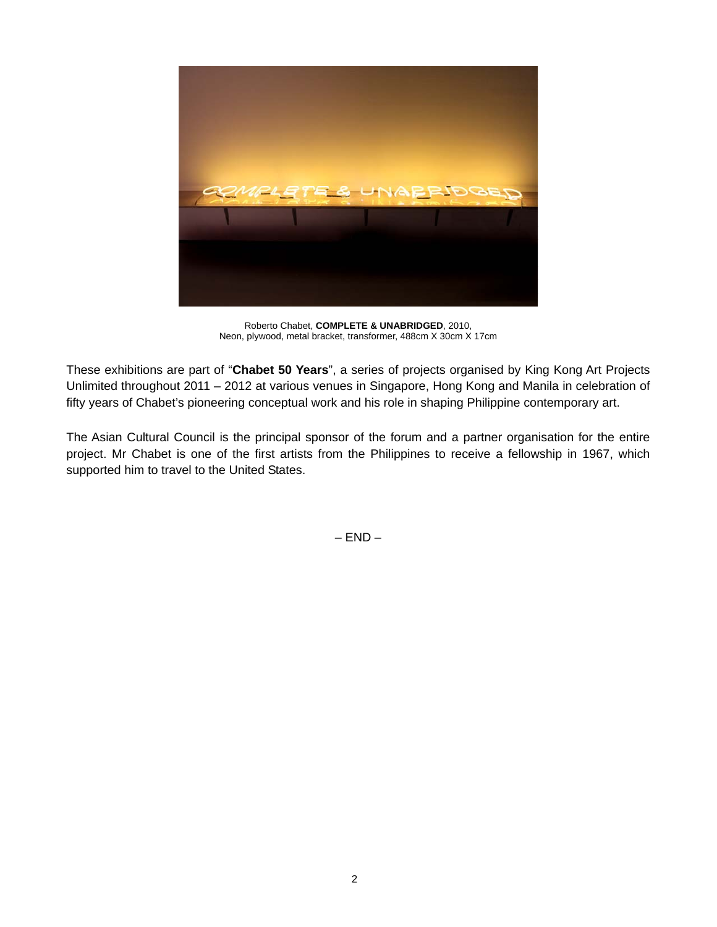

Roberto Chabet, **COMPLETE & UNABRIDGED**, 2010, Neon, plywood, metal bracket, transformer, 488cm X 30cm X 17cm

These exhibitions are part of "**Chabet 50 Years**", a series of projects organised by King Kong Art Projects Unlimited throughout 2011 – 2012 at various venues in Singapore, Hong Kong and Manila in celebration of fifty years of Chabet's pioneering conceptual work and his role in shaping Philippine contemporary art.

The Asian Cultural Council is the principal sponsor of the forum and a partner organisation for the entire project. Mr Chabet is one of the first artists from the Philippines to receive a fellowship in 1967, which supported him to travel to the United States.

 $-$  END  $-$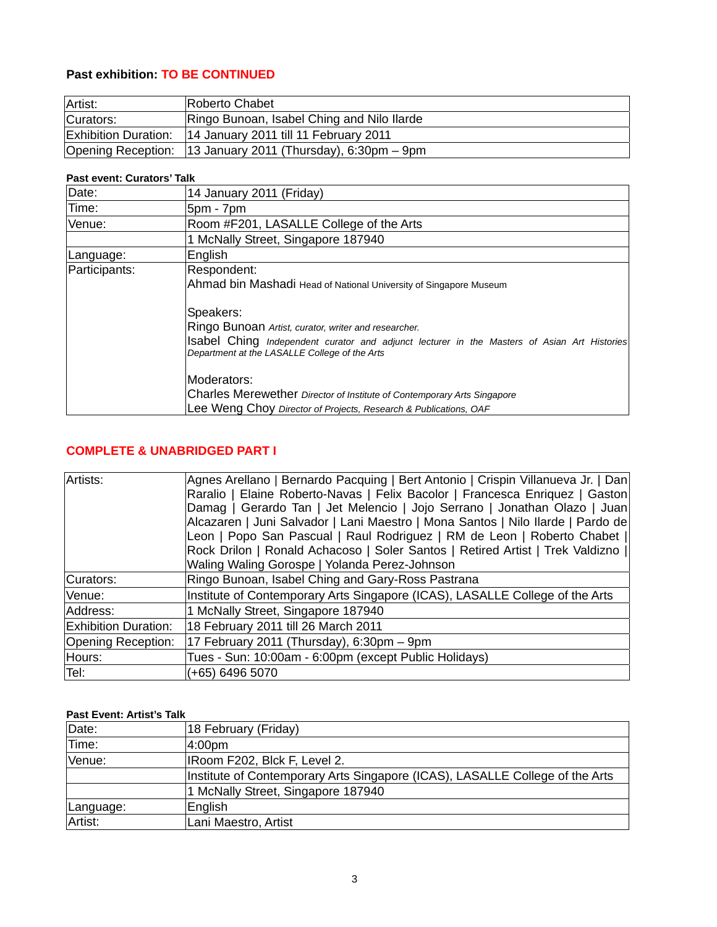# **Past exhibition: TO BE CONTINUED**

| Artist:   | Roberto Chabet                                              |
|-----------|-------------------------------------------------------------|
| Curators: | Ringo Bunoan, Isabel Ching and Nilo Ilarde                  |
|           | Exhibition Duration: 14 January 2011 till 11 February 2011  |
|           | Opening Reception: 13 January 2011 (Thursday), 6:30pm – 9pm |

#### **Past event: Curators' Talk**

| Date:         | 14 January 2011 (Friday)                                                                                                                     |
|---------------|----------------------------------------------------------------------------------------------------------------------------------------------|
| Time:         | 5pm - 7pm                                                                                                                                    |
| Venue:        | Room #F201, LASALLE College of the Arts                                                                                                      |
|               | 1 McNally Street, Singapore 187940                                                                                                           |
| Language:     | English                                                                                                                                      |
| Participants: | Respondent:                                                                                                                                  |
|               | Ahmad bin Mashadi Head of National University of Singapore Museum                                                                            |
|               | Speakers:                                                                                                                                    |
|               | Ringo Bunoan Artist, curator, writer and researcher.                                                                                         |
|               | Isabel Ching Independent curator and adjunct lecturer in the Masters of Asian Art Histories<br>Department at the LASALLE College of the Arts |
|               | IModerators:                                                                                                                                 |
|               | Charles Merewether Director of Institute of Contemporary Arts Singapore                                                                      |
|               | Lee Weng Choy Director of Projects, Research & Publications, OAF                                                                             |

# **COMPLETE & UNABRIDGED PART I**

| Artists:                    | Agnes Arellano   Bernardo Pacquing   Bert Antonio   Crispin Villanueva Jr.   Dan |
|-----------------------------|----------------------------------------------------------------------------------|
|                             | Raralio   Elaine Roberto-Navas   Felix Bacolor   Francesca Enriquez   Gaston     |
|                             | Damag   Gerardo Tan   Jet Melencio   Jojo Serrano   Jonathan Olazo   Juan        |
|                             | Alcazaren   Juni Salvador   Lani Maestro   Mona Santos   Nilo Ilarde   Pardo de  |
|                             | Leon   Popo San Pascual   Raul Rodriguez   RM de Leon   Roberto Chabet           |
|                             | Rock Drilon   Ronald Achacoso   Soler Santos   Retired Artist   Trek Valdizno    |
|                             | Waling Waling Gorospe   Yolanda Perez-Johnson                                    |
| Curators:                   | Ringo Bunoan, Isabel Ching and Gary-Ross Pastrana                                |
| Venue:                      | Institute of Contemporary Arts Singapore (ICAS), LASALLE College of the Arts     |
| Address:                    | 1 McNally Street, Singapore 187940                                               |
| <b>Exhibition Duration:</b> | 18 February 2011 till 26 March 2011                                              |
| Opening Reception:          | 17 February 2011 (Thursday), 6:30pm - 9pm                                        |
| Hours:                      | Tues - Sun: 10:00am - 6:00pm (except Public Holidays)                            |
| Tel:                        | (+65) 6496 5070                                                                  |

## **Past Event: Artist's Talk**

| Date:     | 18 February (Friday)                                                         |
|-----------|------------------------------------------------------------------------------|
| Time:     | 4:00pm                                                                       |
| Venue:    | IRoom F202, Blck F, Level 2.                                                 |
|           | Institute of Contemporary Arts Singapore (ICAS), LASALLE College of the Arts |
|           | 1 McNally Street, Singapore 187940                                           |
| Language: | English                                                                      |
| Artist:   | Lani Maestro, Artist                                                         |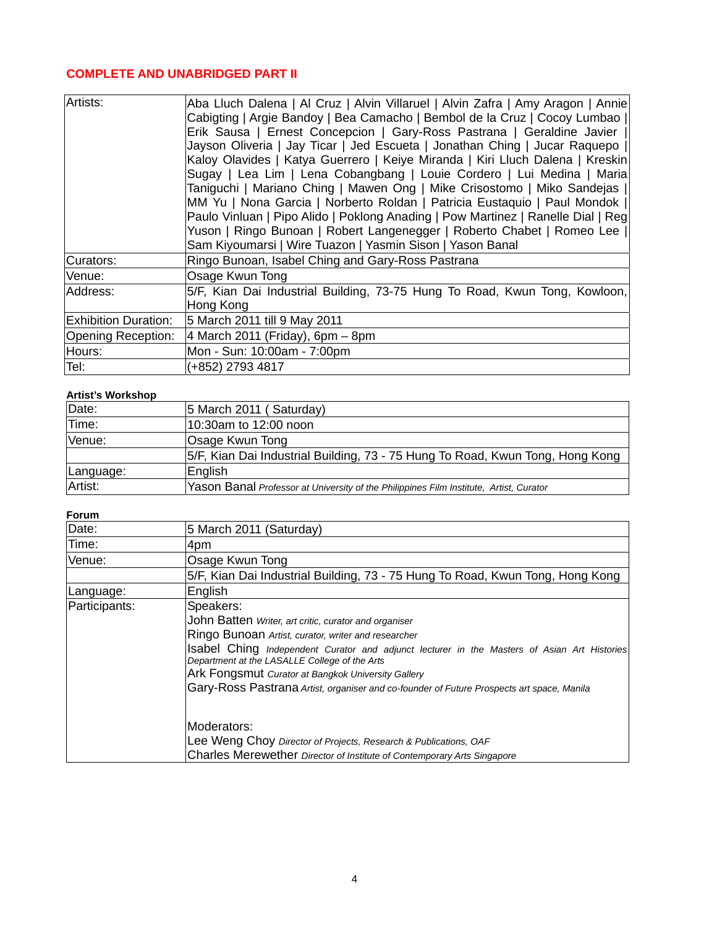# **COMPLETE AND UNABRIDGED PART II**

| Artists:                    | Aba Lluch Dalena   Al Cruz   Alvin Villaruel   Alvin Zafra   Amy Aragon   Annie <br>Cabigting   Argie Bandoy   Bea Camacho   Bembol de la Cruz   Cocoy Lumbao  <br>Erik Sausa   Ernest Concepcion   Gary-Ross Pastrana   Geraldine Javier  <br>Jayson Oliveria   Jay Ticar   Jed Escueta   Jonathan Ching   Jucar Raquepo   <br>Kaloy Olavides   Katya Guerrero   Keiye Miranda   Kiri Lluch Dalena   Kreskin<br>Sugay   Lea Lim   Lena Cobangbang   Louie Cordero   Lui Medina   Maria<br>Taniguchi   Mariano Ching   Mawen Ong   Mike Crisostomo   Miko Sandejas  <br>MM Yu   Nona Garcia   Norberto Roldan   Patricia Eustaquio   Paul Mondok   <br>Paulo Vinluan   Pipo Alido   Poklong Anading   Pow Martinez   Ranelle Dial   Reg<br>Yuson   Ringo Bunoan   Robert Langenegger   Roberto Chabet   Romeo Lee   <br>Sam Kiyoumarsi   Wire Tuazon   Yasmin Sison   Yason Banal |
|-----------------------------|-----------------------------------------------------------------------------------------------------------------------------------------------------------------------------------------------------------------------------------------------------------------------------------------------------------------------------------------------------------------------------------------------------------------------------------------------------------------------------------------------------------------------------------------------------------------------------------------------------------------------------------------------------------------------------------------------------------------------------------------------------------------------------------------------------------------------------------------------------------------------------------|
| Curators:                   | Ringo Bunoan, Isabel Ching and Gary-Ross Pastrana                                                                                                                                                                                                                                                                                                                                                                                                                                                                                                                                                                                                                                                                                                                                                                                                                                 |
| Venue:                      | Osage Kwun Tong                                                                                                                                                                                                                                                                                                                                                                                                                                                                                                                                                                                                                                                                                                                                                                                                                                                                   |
| Address:                    | 5/F, Kian Dai Industrial Building, 73-75 Hung To Road, Kwun Tong, Kowloon,<br>Hong Kong                                                                                                                                                                                                                                                                                                                                                                                                                                                                                                                                                                                                                                                                                                                                                                                           |
| <b>Exhibition Duration:</b> | 5 March 2011 till 9 May 2011                                                                                                                                                                                                                                                                                                                                                                                                                                                                                                                                                                                                                                                                                                                                                                                                                                                      |
| Opening Reception:          | $ 4$ March 2011 (Friday), 6pm – 8pm                                                                                                                                                                                                                                                                                                                                                                                                                                                                                                                                                                                                                                                                                                                                                                                                                                               |
| Hours:                      | Mon - Sun: 10:00am - 7:00pm                                                                                                                                                                                                                                                                                                                                                                                                                                                                                                                                                                                                                                                                                                                                                                                                                                                       |
| Tel:                        | (+852) 2793 4817                                                                                                                                                                                                                                                                                                                                                                                                                                                                                                                                                                                                                                                                                                                                                                                                                                                                  |

### **Artist's Workshop**

| Date:     | 5 March 2011 (Saturday)                                                                |
|-----------|----------------------------------------------------------------------------------------|
| Time:     | 10:30am to 12:00 noon                                                                  |
| Venue:    | Osage Kwun Tong                                                                        |
|           | 5/F, Kian Dai Industrial Building, 73 - 75 Hung To Road, Kwun Tong, Hong Kong          |
| Language: | English                                                                                |
| Artist:   | Yason Banal Professor at University of the Philippines Film Institute, Artist, Curator |

#### **Forum**

| Date:         | 5 March 2011 (Saturday)                                                                                                                      |
|---------------|----------------------------------------------------------------------------------------------------------------------------------------------|
| Time:         | 4pm                                                                                                                                          |
| Venue:        | Osage Kwun Tong                                                                                                                              |
|               | 5/F, Kian Dai Industrial Building, 73 - 75 Hung To Road, Kwun Tong, Hong Kong                                                                |
| Language:     | English                                                                                                                                      |
| Participants: | Speakers:                                                                                                                                    |
|               | John Batten Writer, art critic, curator and organiser                                                                                        |
|               | Ringo Bunoan Artist, curator, writer and researcher                                                                                          |
|               | Isabel Ching Independent Curator and adjunct lecturer in the Masters of Asian Art Histories<br>Department at the LASALLE College of the Arts |
|               | Ark Fongsmut Curator at Bangkok University Gallery                                                                                           |
|               | Gary-Ross Pastrana Artist, organiser and co-founder of Future Prospects art space, Manila                                                    |
|               | Moderators:                                                                                                                                  |
|               | Lee Weng Choy Director of Projects, Research & Publications, OAF                                                                             |
|               | Charles Merewether Director of Institute of Contemporary Arts Singapore                                                                      |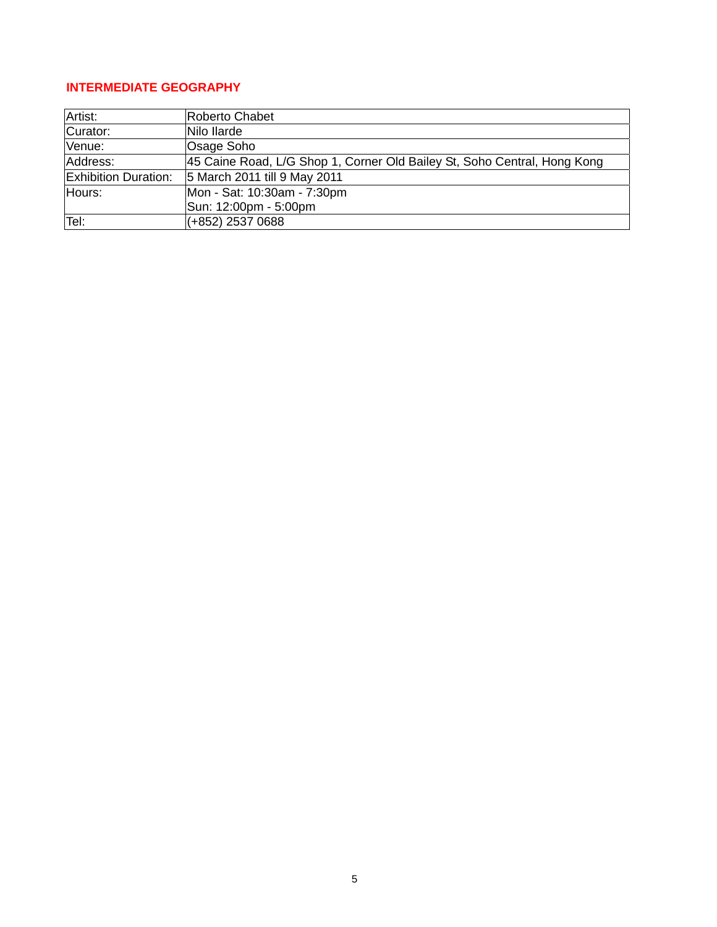# **INTERMEDIATE GEOGRAPHY**

| Artist:                     | Roberto Chabet                                                           |
|-----------------------------|--------------------------------------------------------------------------|
| Curator:                    | Nilo Ilarde                                                              |
| Venue:                      | Osage Soho                                                               |
| Address:                    | 45 Caine Road, L/G Shop 1, Corner Old Bailey St, Soho Central, Hong Kong |
| <b>Exhibition Duration:</b> | 5 March 2011 till 9 May 2011                                             |
| Hours:                      | Mon - Sat: 10:30am - 7:30pm                                              |
|                             | Sun: 12:00pm - 5:00pm                                                    |
| Tel:                        | (+852) 2537 0688                                                         |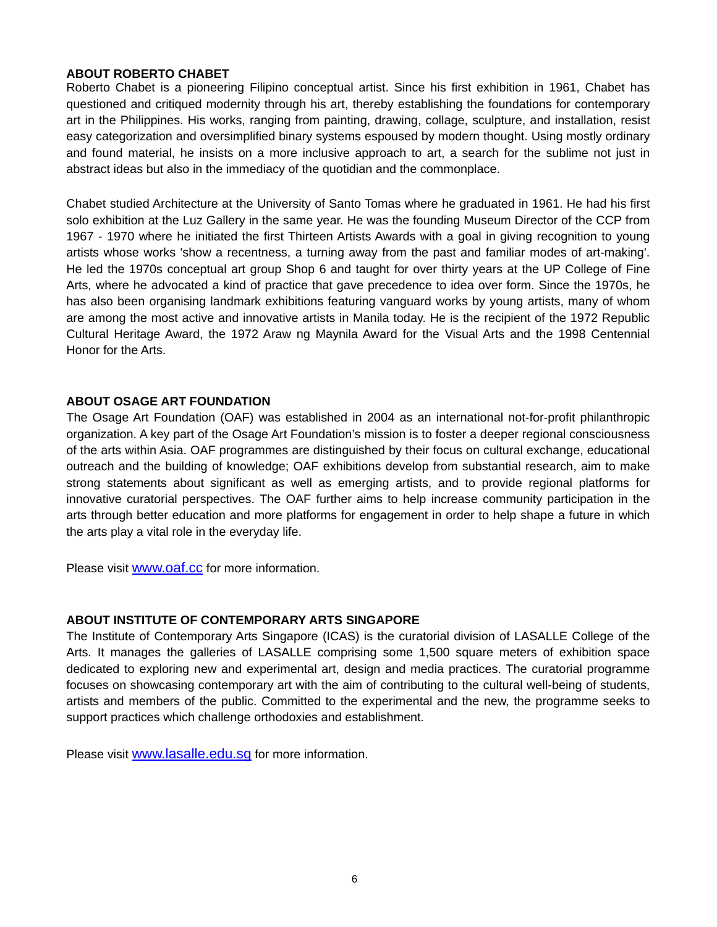#### **ABOUT ROBERTO CHABET**

Roberto Chabet is a pioneering Filipino conceptual artist. Since his first exhibition in 1961, Chabet has questioned and critiqued modernity through his art, thereby establishing the foundations for contemporary art in the Philippines. His works, ranging from painting, drawing, collage, sculpture, and installation, resist easy categorization and oversimplified binary systems espoused by modern thought. Using mostly ordinary and found material, he insists on a more inclusive approach to art, a search for the sublime not just in abstract ideas but also in the immediacy of the quotidian and the commonplace.

Chabet studied Architecture at the University of Santo Tomas where he graduated in 1961. He had his first solo exhibition at the Luz Gallery in the same year. He was the founding Museum Director of the CCP from 1967 - 1970 where he initiated the first Thirteen Artists Awards with a goal in giving recognition to young artists whose works 'show a recentness, a turning away from the past and familiar modes of art-making'. He led the 1970s conceptual art group Shop 6 and taught for over thirty years at the UP College of Fine Arts, where he advocated a kind of practice that gave precedence to idea over form. Since the 1970s, he has also been organising landmark exhibitions featuring vanguard works by young artists, many of whom are among the most active and innovative artists in Manila today. He is the recipient of the 1972 Republic Cultural Heritage Award, the 1972 Araw ng Maynila Award for the Visual Arts and the 1998 Centennial Honor for the Arts.

#### **ABOUT OSAGE ART FOUNDATION**

The Osage Art Foundation (OAF) was established in 2004 as an international not-for-profit philanthropic organization. A key part of the Osage Art Foundation's mission is to foster a deeper regional consciousness of the arts within Asia. OAF programmes are distinguished by their focus on cultural exchange, educational outreach and the building of knowledge; OAF exhibitions develop from substantial research, aim to make strong statements about significant as well as emerging artists, and to provide regional platforms for innovative curatorial perspectives. The OAF further aims to help increase community participation in the arts through better education and more platforms for engagement in order to help shape a future in which the arts play a vital role in the everyday life.

Please visit [www.oaf.cc](http://www.oaf.cc/) for more information.

#### **ABOUT INSTITUTE OF CONTEMPORARY ARTS SINGAPORE**

The Institute of Contemporary Arts Singapore (ICAS) is the curatorial division of LASALLE College of the Arts. It manages the galleries of LASALLE comprising some 1,500 square meters of exhibition space dedicated to exploring new and experimental art, design and media practices. The curatorial programme focuses on showcasing contemporary art with the aim of contributing to the cultural well-being of students, artists and members of the public. Committed to the experimental and the new, the programme seeks to support practices which challenge orthodoxies and establishment.

Please visit [www.lasalle.edu.sg](http://www.lasalle.edu.sg/) for more information.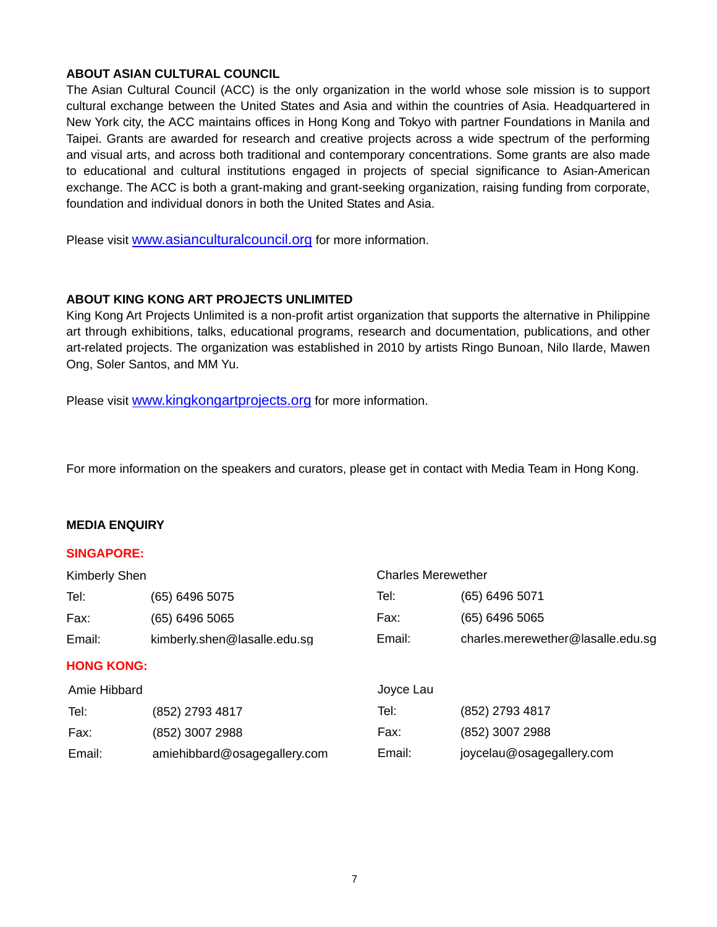#### **ABOUT ASIAN CULTURAL COUNCIL**

The Asian Cultural Council (ACC) is the only organization in the world whose sole mission is to support cultural exchange between the United States and Asia and within the countries of Asia. Headquartered in New York city, the ACC maintains offices in Hong Kong and Tokyo with partner Foundations in Manila and Taipei. Grants are awarded for research and creative projects across a wide spectrum of the performing and visual arts, and across both traditional and contemporary concentrations. Some grants are also made to educational and cultural institutions engaged in projects of special significance to Asian-American exchange. The ACC is both a grant-making and grant-seeking organization, raising funding from corporate, foundation and individual donors in both the United States and Asia.

Please visit [www.asianculturalcouncil.org](http://www.asianculturalcouncil.org/) for more information.

#### **ABOUT KING KONG ART PROJECTS UNLIMITED**

King Kong Art Projects Unlimited is a non-profit artist organization that supports the alternative in Philippine art through exhibitions, talks, educational programs, research and documentation, publications, and other art-related projects. The organization was established in 2010 by artists Ringo Bunoan, Nilo Ilarde, Mawen Ong, Soler Santos, and MM Yu.

Please visit [www.kingkongartprojects.org](http://www.kingkongartprojects.org/) for more information.

For more information on the speakers and curators, please get in contact with Media Team in Hong Kong.

#### **MEDIA ENQUIRY**

#### **SINGAPORE:**

| <b>Charles Merewether</b>         |  |
|-----------------------------------|--|
| (65) 6496 5071                    |  |
| (65) 6496 5065                    |  |
| charles.merewether@lasalle.edu.sg |  |
|                                   |  |
|                                   |  |
| (852) 2793 4817                   |  |
| (852) 3007 2988                   |  |
| joycelau@osagegallery.com         |  |
|                                   |  |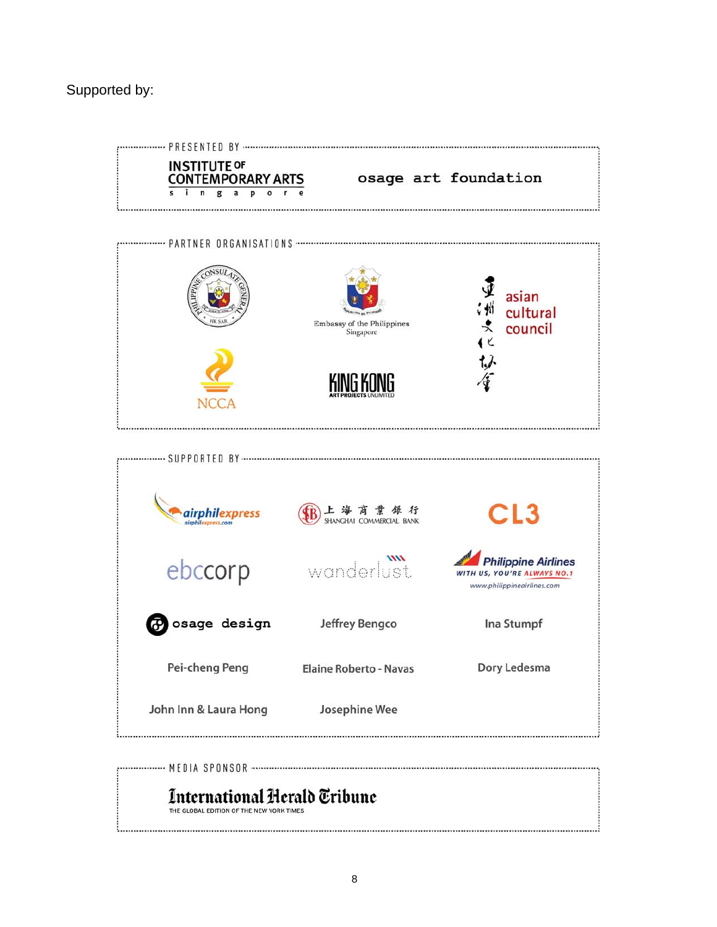# Supported by:



# International Herald Tribune

THE GLOBAL EDITION OF THE NEW YORK TIMES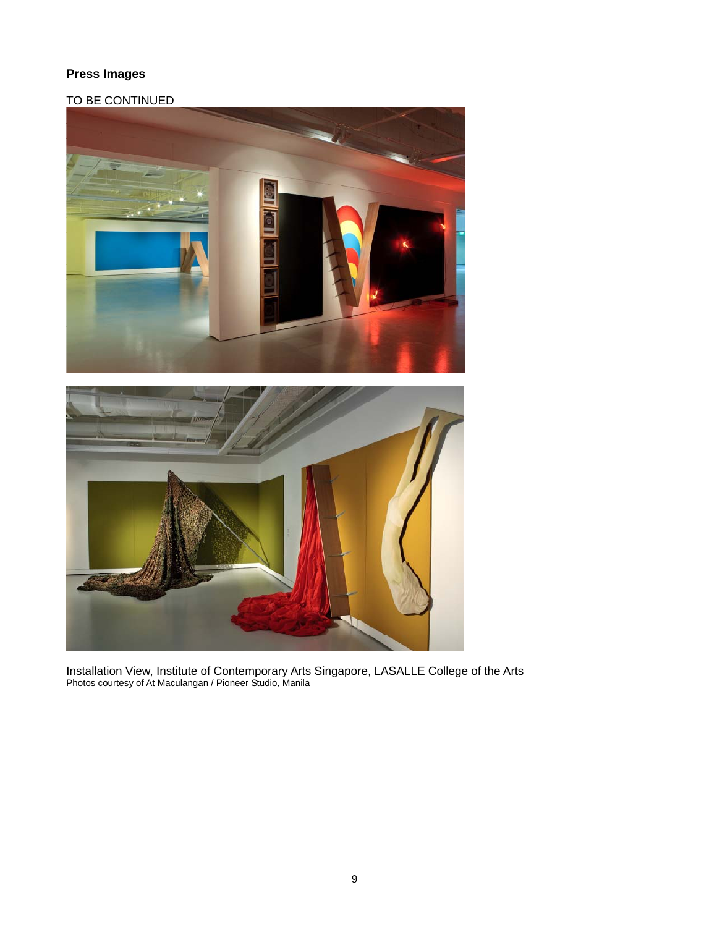# **Press Images**

# TO BE CONTINUED



Installation View, Institute of Contemporary Arts Singapore, LASALLE College of the Arts Photos courtesy of At Maculangan / Pioneer Studio, Manila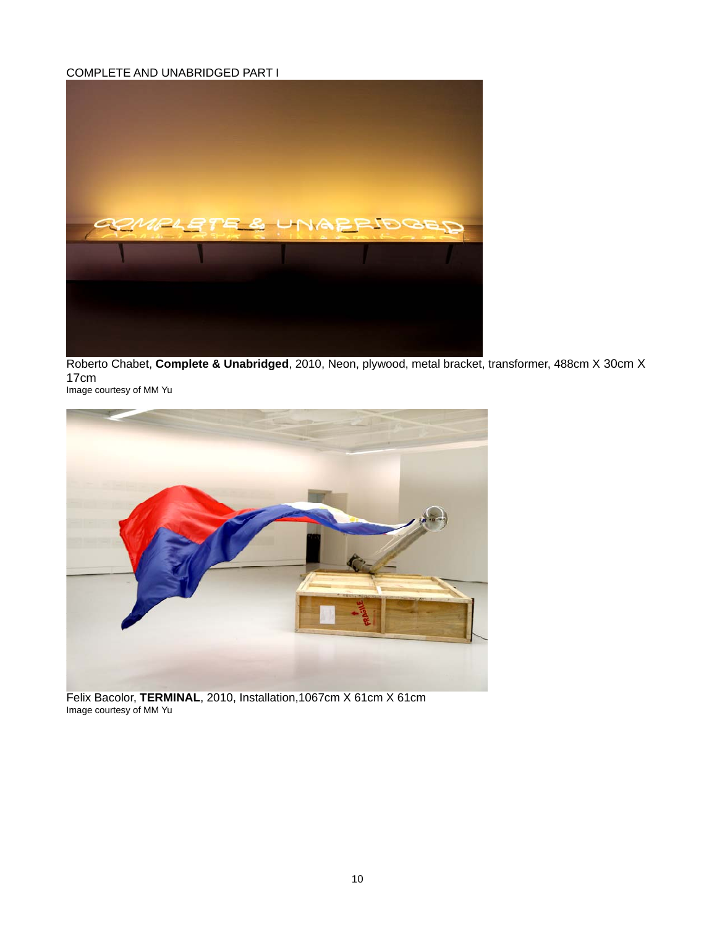#### COMPLETE AND UNABRIDGED PART I



Roberto Chabet, **Complete & Unabridged**, 2010, Neon, plywood, metal bracket, transformer, 488cm X 30cm X 17cm Image courtesy of MM Yu



Felix Bacolor, **TERMINAL**, 2010, Installation,1067cm X 61cm X 61cm Image courtesy of MM Yu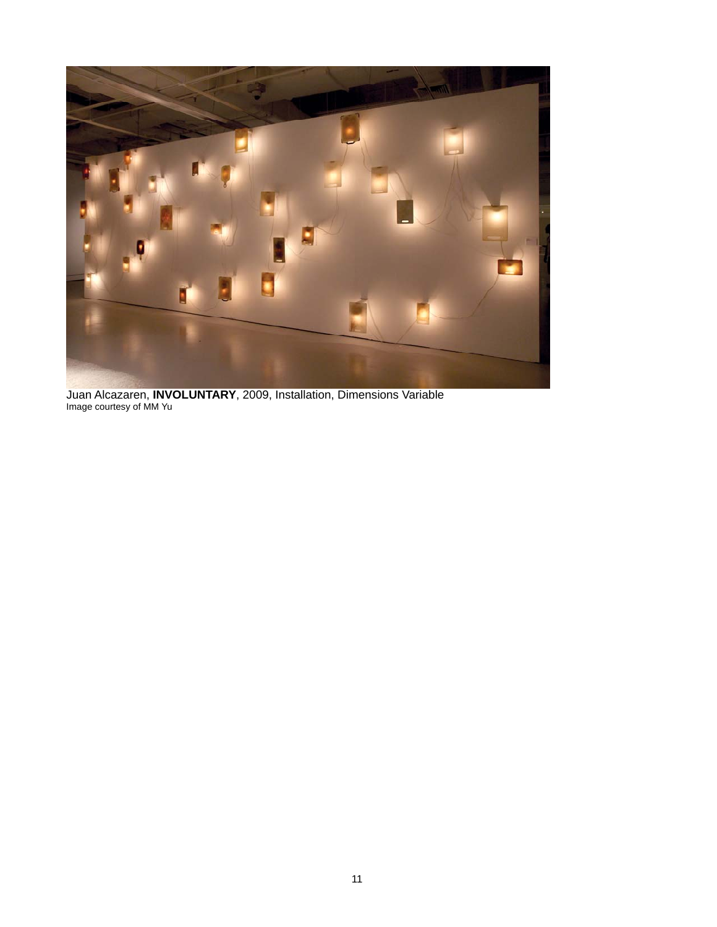

Juan Alcazaren, **INVOLUNTARY**, 2009, Installation, Dimensions Variable Image courtesy of MM Yu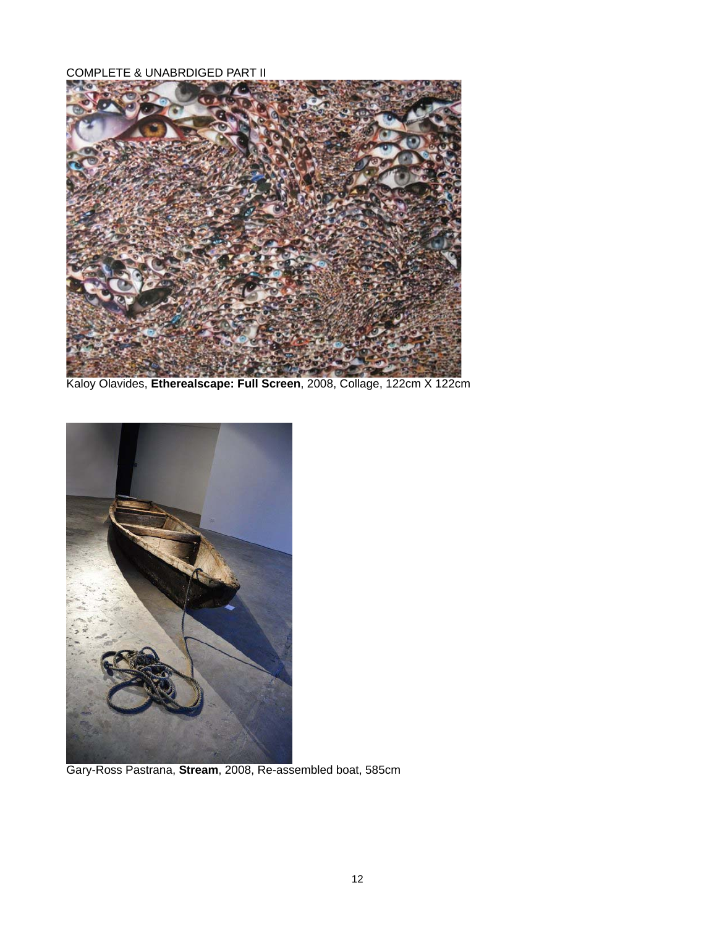COMPLETE & UNABRDIGED PART II



Kaloy Olavides, **Etherealscape: Full Screen**, 2008, Collage, 122cm X 122cm



Gary-Ross Pastrana, **Stream**, 2008, Re-assembled boat, 585cm